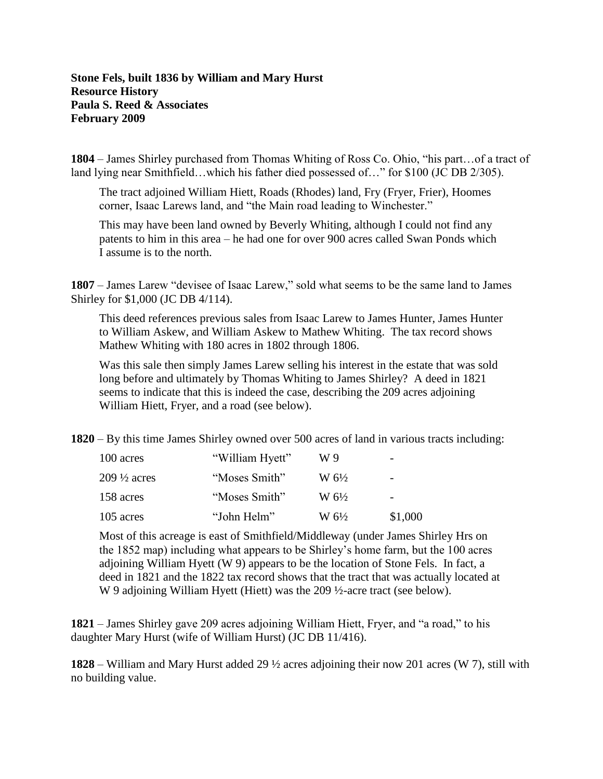## **Stone Fels, built 1836 by William and Mary Hurst Resource History Paula S. Reed & Associates February 2009**

**1804** – James Shirley purchased from Thomas Whiting of Ross Co. Ohio, "his part…of a tract of land lying near Smithfield…which his father died possessed of…" for \$100 (JC DB 2/305).

The tract adjoined William Hiett, Roads (Rhodes) land, Fry (Fryer, Frier), Hoomes corner, Isaac Larews land, and "the Main road leading to Winchester."

This may have been land owned by Beverly Whiting, although I could not find any patents to him in this area – he had one for over 900 acres called Swan Ponds which I assume is to the north.

**1807** – James Larew "devisee of Isaac Larew," sold what seems to be the same land to James Shirley for \$1,000 (JC DB 4/114).

This deed references previous sales from Isaac Larew to James Hunter, James Hunter to William Askew, and William Askew to Mathew Whiting. The tax record shows Mathew Whiting with 180 acres in 1802 through 1806.

Was this sale then simply James Larew selling his interest in the estate that was sold long before and ultimately by Thomas Whiting to James Shirley? A deed in 1821 seems to indicate that this is indeed the case, describing the 209 acres adjoining William Hiett, Fryer, and a road (see below).

**1820** – By this time James Shirley owned over 500 acres of land in various tracts including:

| 100 acres<br>$209\frac{1}{2}$ acres<br>158 acres | "William Hyett"                | W 9                               |                               |
|--------------------------------------------------|--------------------------------|-----------------------------------|-------------------------------|
|                                                  | "Moses Smith"<br>"Moses Smith" | $W_0^{1/2}$<br>$W_0 \frac{61}{2}$ | $\overline{\phantom{0}}$<br>- |
|                                                  |                                |                                   |                               |

Most of this acreage is east of Smithfield/Middleway (under James Shirley Hrs on the 1852 map) including what appears to be Shirley's home farm, but the 100 acres adjoining William Hyett (W 9) appears to be the location of Stone Fels. In fact, a deed in 1821 and the 1822 tax record shows that the tract that was actually located at W 9 adjoining William Hyett (Hiett) was the 209 ½-acre tract (see below).

**1821** – James Shirley gave 209 acres adjoining William Hiett, Fryer, and "a road," to his daughter Mary Hurst (wife of William Hurst) (JC DB 11/416).

**1828** – William and Mary Hurst added 29 ½ acres adjoining their now 201 acres (W 7), still with no building value.